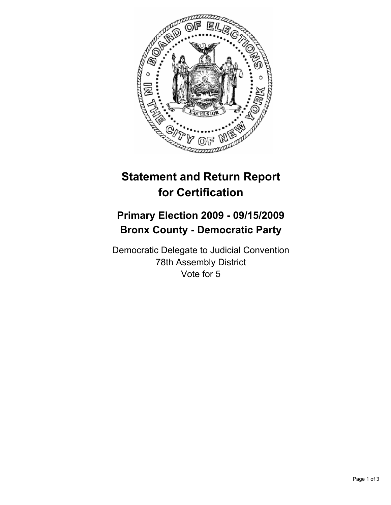

## **Statement and Return Report for Certification**

## **Primary Election 2009 - 09/15/2009 Bronx County - Democratic Party**

Democratic Delegate to Judicial Convention 78th Assembly District Vote for 5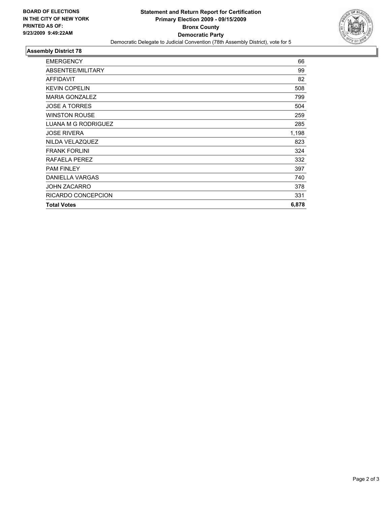

## **Assembly District 78**

| <b>EMERGENCY</b>       | 66    |
|------------------------|-------|
| ABSENTEE/MILITARY      | 99    |
| <b>AFFIDAVIT</b>       | 82    |
| <b>KEVIN COPELIN</b>   | 508   |
| <b>MARIA GONZALEZ</b>  | 799   |
| <b>JOSE A TORRES</b>   | 504   |
| <b>WINSTON ROUSE</b>   | 259   |
| LUANA M G RODRIGUEZ    | 285   |
| <b>JOSE RIVERA</b>     | 1,198 |
| NILDA VELAZQUEZ        | 823   |
| <b>FRANK FORLINI</b>   | 324   |
| RAFAELA PEREZ          | 332   |
| <b>PAM FINLEY</b>      | 397   |
| <b>DANIELLA VARGAS</b> | 740   |
| <b>JOHN ZACARRO</b>    | 378   |
| RICARDO CONCEPCION     | 331   |
| <b>Total Votes</b>     | 6,878 |